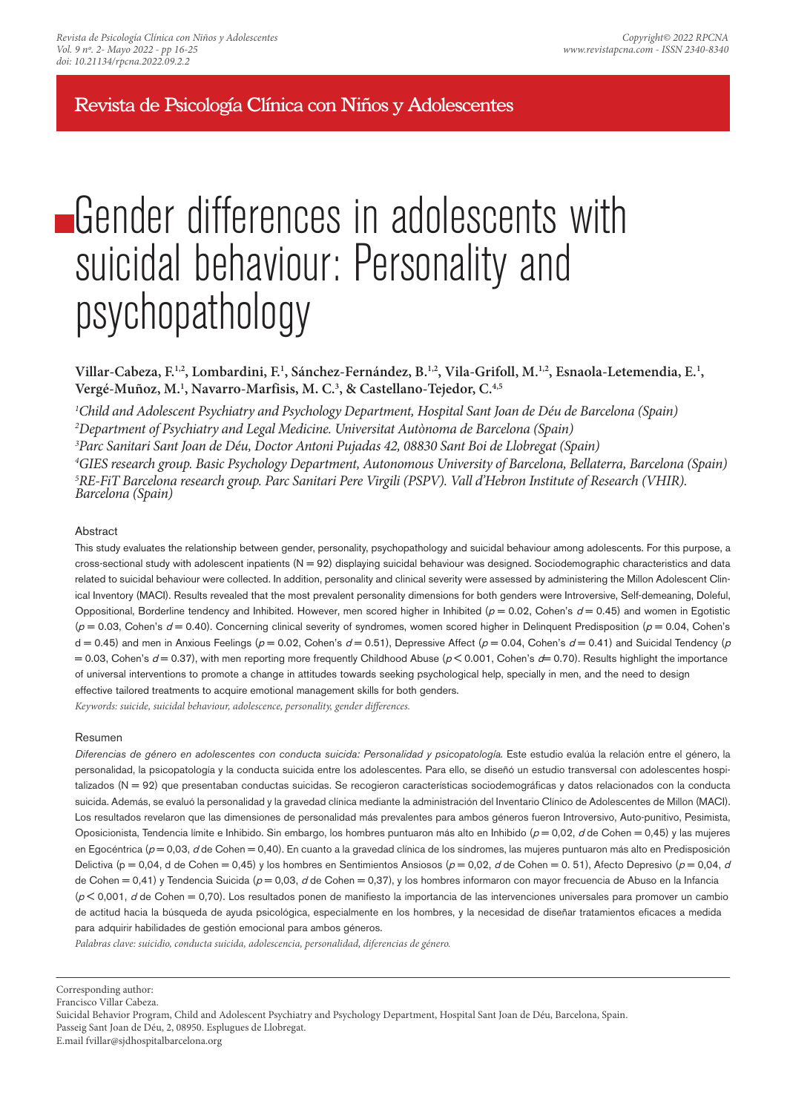Revista de Psicología Clínica con Niños y Adolescentes

# **Gender differences in adolescents with** suicidal behaviour: Personality and psychopathology

**Villar-Cabeza, F.1,2, Lombardini, F.<sup>1</sup> , Sánchez-Fernández, B.1,2, Vila-Grifoll, M.1,2, Esnaola-Letemendia, E.<sup>1</sup> , Vergé-Muñoz, M.<sup>1</sup> , Navarro-Marfisis, M. C.<sup>3</sup> , & Castellano-Tejedor, C.4,5**

*Child and Adolescent Psychiatry and Psychology Department, Hospital Sant Joan de Déu de Barcelona (Spain) Department of Psychiatry and Legal Medicine. Universitat Autònoma de Barcelona (Spain) Parc Sanitari Sant Joan de Déu, Doctor Antoni Pujadas 42, 08830 Sant Boi de Llobregat (Spain) GIES research group. Basic Psychology Department, Autonomous University of Barcelona, Bellaterra, Barcelona (Spain) RE-FiT Barcelona research group. Parc Sanitari Pere Virgili (PSPV). Vall d'Hebron Institute of Research (VHIR). Barcelona (Spain)*

## Abstract

This study evaluates the relationship between gender, personality, psychopathology and suicidal behaviour among adolescents. For this purpose, a cross-sectional study with adolescent inpatients (N = 92) displaying suicidal behaviour was designed. Sociodemographic characteristics and data related to suicidal behaviour were collected. In addition, personality and clinical severity were assessed by administering the Millon Adolescent Clinical Inventory (MACI). Results revealed that the most prevalent personality dimensions for both genders were Introversive, Self-demeaning, Doleful, Oppositional, Borderline tendency and Inhibited. However, men scored higher in Inhibited ( $p = 0.02$ , Cohen's  $d = 0.45$ ) and women in Egotistic  $(p = 0.03,$  Cohen's  $d = 0.40$ ). Concerning clinical severity of syndromes, women scored higher in Delinquent Predisposition ( $p = 0.04$ , Cohen's  $d = 0.45$ ) and men in Anxious Feelings ( $p = 0.02$ , Cohen's  $d = 0.51$ ), Depressive Affect ( $p = 0.04$ , Cohen's  $d = 0.41$ ) and Suicidal Tendency ( $p$ = 0.03, Cohen's  $d = 0.37$ ), with men reporting more frequently Childhood Abuse ( $p < 0.001$ , Cohen's  $d = 0.70$ ). Results highlight the importance of universal interventions to promote a change in attitudes towards seeking psychological help, specially in men, and the need to design effective tailored treatments to acquire emotional management skills for both genders.

*Keywords: suicide, suicidal behaviour, adolescence, personality, gender differences.*

## Resumen

Diferencias de género en adolescentes con conducta suicida: Personalidad y psicopatología. Este estudio evalúa la relación entre el género, la personalidad, la psicopatología y la conducta suicida entre los adolescentes. Para ello, se diseñó un estudio transversal con adolescentes hospitalizados (N = 92) que presentaban conductas suicidas. Se recogieron características sociodemográficas y datos relacionados con la conducta suicida. Además, se evaluó la personalidad y la gravedad clínica mediante la administración del Inventario Clínico de Adolescentes de Millon (MACI). Los resultados revelaron que las dimensiones de personalidad más prevalentes para ambos géneros fueron Introversivo, Auto-punitivo, Pesimista, Oposicionista, Tendencia límite e Inhibido. Sin embargo, los hombres puntuaron más alto en Inhibido ( $p = 0.02$ , d de Cohen = 0.45) y las mujeres en Egocéntrica ( $p = 0.03$ ,  $d$  de Cohen = 0.40). En cuanto a la gravedad clínica de los síndromes, las mujeres puntuaron más alto en Predisposición Delictiva (p = 0,04, d de Cohen = 0,45) y los hombres en Sentimientos Ansiosos (p = 0,02, d de Cohen = 0. 51), Afecto Depresivo (p = 0,04, d de Cohen = 0,41) y Tendencia Suicida ( $p = 0.03$ , d'de Cohen = 0,37), y los hombres informaron con mayor frecuencia de Abuso en la Infancia  $(p< 0.001, d$  de Cohen = 0,70). Los resultados ponen de manifiesto la importancia de las intervenciones universales para promover un cambio de actitud hacia la búsqueda de ayuda psicológica, especialmente en los hombres, y la necesidad de diseñar tratamientos eficaces a medida para adquirir habilidades de gestión emocional para ambos géneros.

*Palabras clave: suicidio, conducta suicida, adolescencia, personalidad, diferencias de género.*

Passeig Sant Joan de Déu, 2, 08950. Esplugues de Llobregat.

Corresponding author:

Francisco Villar Cabeza.

Suicidal Behavior Program, Child and Adolescent Psychiatry and Psychology Department, Hospital Sant Joan de Déu, Barcelona, Spain.

E.mail fvillar@sjdhospitalbarcelona.org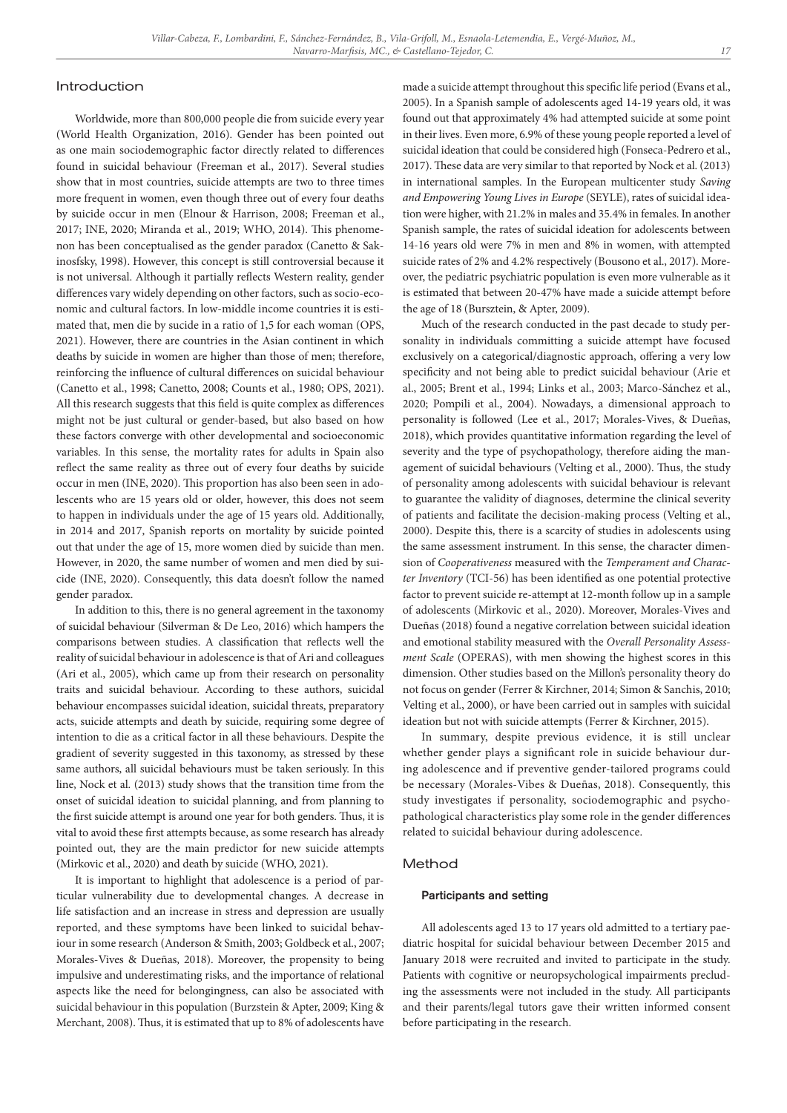#### Introduction

Worldwide, more than 800,000 people die from suicide every year (World Health Organization, 2016). Gender has been pointed out as one main sociodemographic factor directly related to differences found in suicidal behaviour (Freeman et al., 2017). Several studies show that in most countries, suicide attempts are two to three times more frequent in women, even though three out of every four deaths by suicide occur in men (Elnour & Harrison, 2008; Freeman et al., 2017; INE, 2020; Miranda et al., 2019; WHO, 2014). This phenomenon has been conceptualised as the gender paradox (Canetto & Sakinosfsky, 1998). However, this concept is still controversial because it is not universal. Although it partially reflects Western reality, gender differences vary widely depending on other factors, such as socio-economic and cultural factors. In low-middle income countries it is estimated that, men die by sucide in a ratio of 1,5 for each woman (OPS, 2021). However, there are countries in the Asian continent in which deaths by suicide in women are higher than those of men; therefore, reinforcing the influence of cultural differences on suicidal behaviour (Canetto et al., 1998; Canetto, 2008; Counts et al., 1980; OPS, 2021). All this research suggests that this field is quite complex as differences might not be just cultural or gender-based, but also based on how these factors converge with other developmental and socioeconomic variables. In this sense, the mortality rates for adults in Spain also reflect the same reality as three out of every four deaths by suicide occur in men (INE, 2020). This proportion has also been seen in adolescents who are 15 years old or older, however, this does not seem to happen in individuals under the age of 15 years old. Additionally, in 2014 and 2017, Spanish reports on mortality by suicide pointed out that under the age of 15, more women died by suicide than men. However, in 2020, the same number of women and men died by suicide (INE, 2020). Consequently, this data doesn't follow the named gender paradox.

In addition to this, there is no general agreement in the taxonomy of suicidal behaviour (Silverman & De Leo, 2016) which hampers the comparisons between studies. A classification that reflects well the reality of suicidal behaviour in adolescence is that of Ari and colleagues (Ari et al., 2005), which came up from their research on personality traits and suicidal behaviour. According to these authors, suicidal behaviour encompasses suicidal ideation, suicidal threats, preparatory acts, suicide attempts and death by suicide, requiring some degree of intention to die as a critical factor in all these behaviours. Despite the gradient of severity suggested in this taxonomy, as stressed by these same authors, all suicidal behaviours must be taken seriously. In this line, Nock et al. (2013) study shows that the transition time from the onset of suicidal ideation to suicidal planning, and from planning to the first suicide attempt is around one year for both genders. Thus, it is vital to avoid these first attempts because, as some research has already pointed out, they are the main predictor for new suicide attempts (Mirkovic et al., 2020) and death by suicide (WHO, 2021).

It is important to highlight that adolescence is a period of particular vulnerability due to developmental changes. A decrease in life satisfaction and an increase in stress and depression are usually reported, and these symptoms have been linked to suicidal behaviour in some research (Anderson & Smith, 2003; Goldbeck et al., 2007; Morales-Vives & Dueñas, 2018). Moreover, the propensity to being impulsive and underestimating risks, and the importance of relational aspects like the need for belongingness, can also be associated with suicidal behaviour in this population (Burzstein & Apter, 2009; King & Merchant, 2008). Thus, it is estimated that up to 8% of adolescents have made a suicide attempt throughout this specific life period (Evans et al., 2005). In a Spanish sample of adolescents aged 14-19 years old, it was found out that approximately 4% had attempted suicide at some point in their lives. Even more, 6.9% of these young people reported a level of suicidal ideation that could be considered high (Fonseca-Pedrero et al., 2017). These data are very similar to that reported by Nock et al. (2013) in international samples. In the European multicenter study *Saving and Empowering Young Lives in Europe* (SEYLE), rates of suicidal ideation were higher, with 21.2% in males and 35.4% in females. In another Spanish sample, the rates of suicidal ideation for adolescents between 14-16 years old were 7% in men and 8% in women, with attempted suicide rates of 2% and 4.2% respectively (Bousono et al., 2017). Moreover, the pediatric psychiatric population is even more vulnerable as it is estimated that between 20-47% have made a suicide attempt before the age of 18 (Bursztein, & Apter, 2009).

Much of the research conducted in the past decade to study personality in individuals committing a suicide attempt have focused exclusively on a categorical/diagnostic approach, offering a very low specificity and not being able to predict suicidal behaviour (Arie et al., 2005; Brent et al., 1994; Links et al., 2003; Marco-Sánchez et al., 2020; Pompili et al., 2004). Nowadays, a dimensional approach to personality is followed (Lee et al., 2017; Morales-Vives, & Dueñas, 2018), which provides quantitative information regarding the level of severity and the type of psychopathology, therefore aiding the management of suicidal behaviours (Velting et al., 2000). Thus, the study of personality among adolescents with suicidal behaviour is relevant to guarantee the validity of diagnoses, determine the clinical severity of patients and facilitate the decision-making process (Velting et al., 2000). Despite this, there is a scarcity of studies in adolescents using the same assessment instrument. In this sense, the character dimension of *Cooperativeness* measured with the *Temperament and Character Inventory* (TCI-56) has been identified as one potential protective factor to prevent suicide re-attempt at 12-month follow up in a sample of adolescents (Mirkovic et al., 2020). Moreover, Morales-Vives and Dueñas (2018) found a negative correlation between suicidal ideation and emotional stability measured with the *Overall Personality Assessment Scale* (OPERAS), with men showing the highest scores in this dimension. Other studies based on the Millon's personality theory do not focus on gender (Ferrer & Kirchner, 2014; Simon & Sanchis, 2010; Velting et al., 2000), or have been carried out in samples with suicidal ideation but not with suicide attempts (Ferrer & Kirchner, 2015).

In summary, despite previous evidence, it is still unclear whether gender plays a significant role in suicide behaviour during adolescence and if preventive gender-tailored programs could be necessary (Morales-Vibes & Dueñas, 2018). Consequently, this study investigates if personality, sociodemographic and psychopathological characteristics play some role in the gender differences related to suicidal behaviour during adolescence.

## Method

#### Participants and setting

All adolescents aged 13 to 17 years old admitted to a tertiary paediatric hospital for suicidal behaviour between December 2015 and January 2018 were recruited and invited to participate in the study. Patients with cognitive or neuropsychological impairments precluding the assessments were not included in the study. All participants and their parents/legal tutors gave their written informed consent before participating in the research.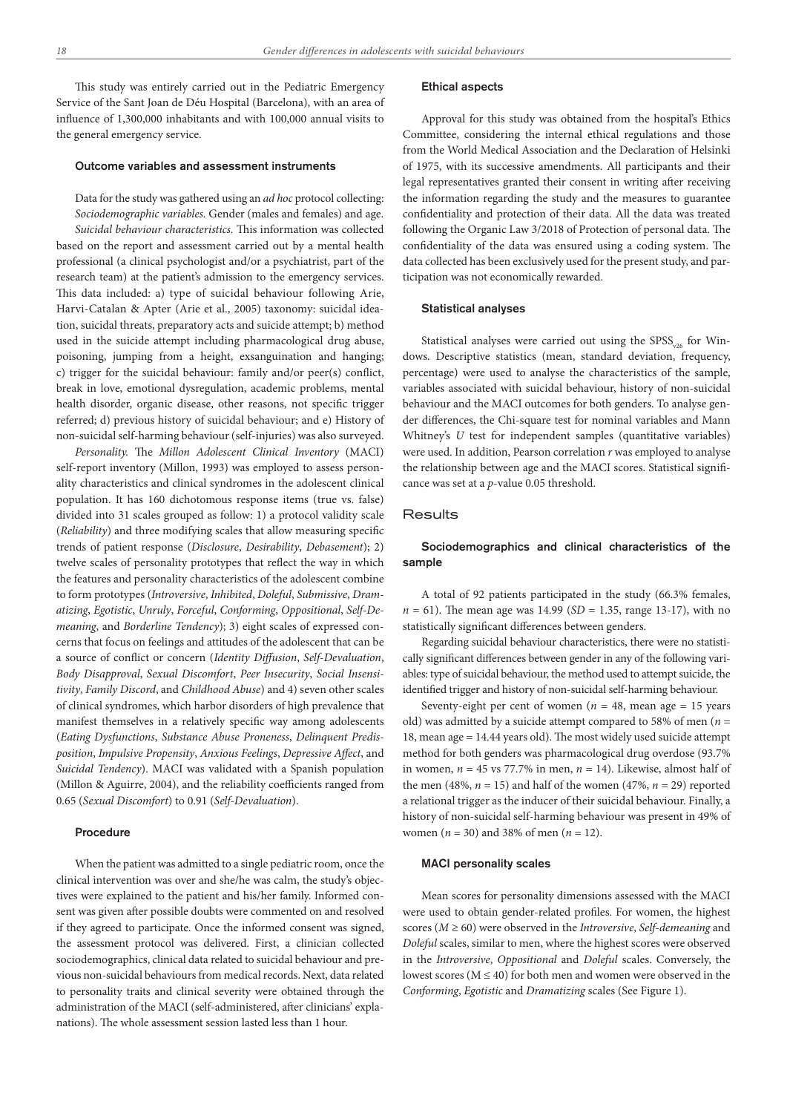This study was entirely carried out in the Pediatric Emergency Service of the Sant Joan de Déu Hospital (Barcelona), with an area of influence of 1,300,000 inhabitants and with 100,000 annual visits to the general emergency service.

## Outcome variables and assessment instruments

Data for the study was gathered using an *ad hoc* protocol collecting: *Sociodemographic variables.* Gender (males and females) and age. *Suicidal behaviour characteristics.* This information was collected based on the report and assessment carried out by a mental health professional (a clinical psychologist and/or a psychiatrist, part of the research team) at the patient's admission to the emergency services. This data included: a) type of suicidal behaviour following Arie, Harvi-Catalan & Apter (Arie et al., 2005) taxonomy: suicidal ideation, suicidal threats, preparatory acts and suicide attempt; b) method used in the suicide attempt including pharmacological drug abuse, poisoning, jumping from a height, exsanguination and hanging; c) trigger for the suicidal behaviour: family and/or peer(s) conflict, break in love, emotional dysregulation, academic problems, mental health disorder, organic disease, other reasons, not specific trigger referred; d) previous history of suicidal behaviour; and e) History of non-suicidal self-harming behaviour (self-injuries) was also surveyed.

*Personality.* The *Millon Adolescent Clinical Inventory* (MACI) self-report inventory (Millon, 1993) was employed to assess personality characteristics and clinical syndromes in the adolescent clinical population. It has 160 dichotomous response items (true vs. false) divided into 31 scales grouped as follow: 1) a protocol validity scale (*Reliability*) and three modifying scales that allow measuring specific trends of patient response (*Disclosure*, *Desirability*, *Debasement*); 2) twelve scales of personality prototypes that reflect the way in which the features and personality characteristics of the adolescent combine to form prototypes (*Introversive*, *Inhibited*, *Doleful*, *Submissive*, *Dramatizing*, *Egotistic*, *Unruly*, *Forceful*, *Conforming*, *Oppositional*, *Self-Demeaning*, and *Borderline Tendency*); 3) eight scales of expressed concerns that focus on feelings and attitudes of the adolescent that can be a source of conflict or concern (*Identity Diffusion*, *Self-Devaluation*, *Body Disapproval*, *Sexual Discomfort*, *Peer Insecurity*, *Social Insensitivity*, *Family Discord*, and *Childhood Abuse*) and 4) seven other scales of clinical syndromes, which harbor disorders of high prevalence that manifest themselves in a relatively specific way among adolescents (*Eating Dysfunctions*, *Substance Abuse Proneness*, *Delinquent Predisposition*, *Impulsive Propensity*, *Anxious Feelings*, *Depressive Affect*, and *Suicidal Tendency*). MACI was validated with a Spanish population (Millon & Aguirre, 2004), and the reliability coefficients ranged from 0.65 (*Sexual Discomfort*) to 0.91 (*Self-Devaluation*).

### Procedure

When the patient was admitted to a single pediatric room, once the clinical intervention was over and she/he was calm, the study's objectives were explained to the patient and his/her family. Informed consent was given after possible doubts were commented on and resolved if they agreed to participate. Once the informed consent was signed, the assessment protocol was delivered. First, a clinician collected sociodemographics, clinical data related to suicidal behaviour and previous non-suicidal behaviours from medical records. Next, data related to personality traits and clinical severity were obtained through the administration of the MACI (self-administered, after clinicians' explanations). The whole assessment session lasted less than 1 hour.

#### Ethical aspects

Approval for this study was obtained from the hospital's Ethics Committee, considering the internal ethical regulations and those from the World Medical Association and the Declaration of Helsinki of 1975, with its successive amendments. All participants and their legal representatives granted their consent in writing after receiving the information regarding the study and the measures to guarantee confidentiality and protection of their data. All the data was treated following the Organic Law 3/2018 of Protection of personal data. The confidentiality of the data was ensured using a coding system. The data collected has been exclusively used for the present study, and participation was not economically rewarded.

### Statistical analyses

Statistical analyses were carried out using the  $SPSS<sub>v26</sub>$  for Windows. Descriptive statistics (mean, standard deviation, frequency, percentage) were used to analyse the characteristics of the sample, variables associated with suicidal behaviour, history of non-suicidal behaviour and the MACI outcomes for both genders. To analyse gender differences, the Chi-square test for nominal variables and Mann Whitney's *U* test for independent samples (quantitative variables) were used. In addition, Pearson correlation *r* was employed to analyse the relationship between age and the MACI scores. Statistical significance was set at a *p*-value 0.05 threshold.

## **Results**

# Sociodemographics and clinical characteristics of the sample

A total of 92 patients participated in the study (66.3% females, *n* = 61). The mean age was 14.99 (*SD* = 1.35, range 13-17), with no statistically significant differences between genders.

Regarding suicidal behaviour characteristics, there were no statistically significant differences between gender in any of the following variables: type of suicidal behaviour, the method used to attempt suicide, the identified trigger and history of non-suicidal self-harming behaviour.

Seventy-eight per cent of women ( $n = 48$ , mean age = 15 years old) was admitted by a suicide attempt compared to 58% of men (*n* = 18, mean age = 14.44 years old). The most widely used suicide attempt method for both genders was pharmacological drug overdose (93.7% in women,  $n = 45$  vs 77.7% in men,  $n = 14$ ). Likewise, almost half of the men (48%,  $n = 15$ ) and half of the women (47%,  $n = 29$ ) reported a relational trigger as the inducer of their suicidal behaviour. Finally, a history of non-suicidal self-harming behaviour was present in 49% of women (*n* = 30) and 38% of men (*n* = 12).

## MACI personality scales

Mean scores for personality dimensions assessed with the MACI were used to obtain gender-related profiles. For women, the highest scores (*M* ≥ 60) were observed in the *Introversive*, *Self-demeaning* and *Doleful* scales, similar to men, where the highest scores were observed in the *Introversive*, *Oppositional* and *Doleful* scales. Conversely, the lowest scores ( $M \le 40$ ) for both men and women were observed in the *Conforming*, *Egotistic* and *Dramatizing* scales (See Figure 1).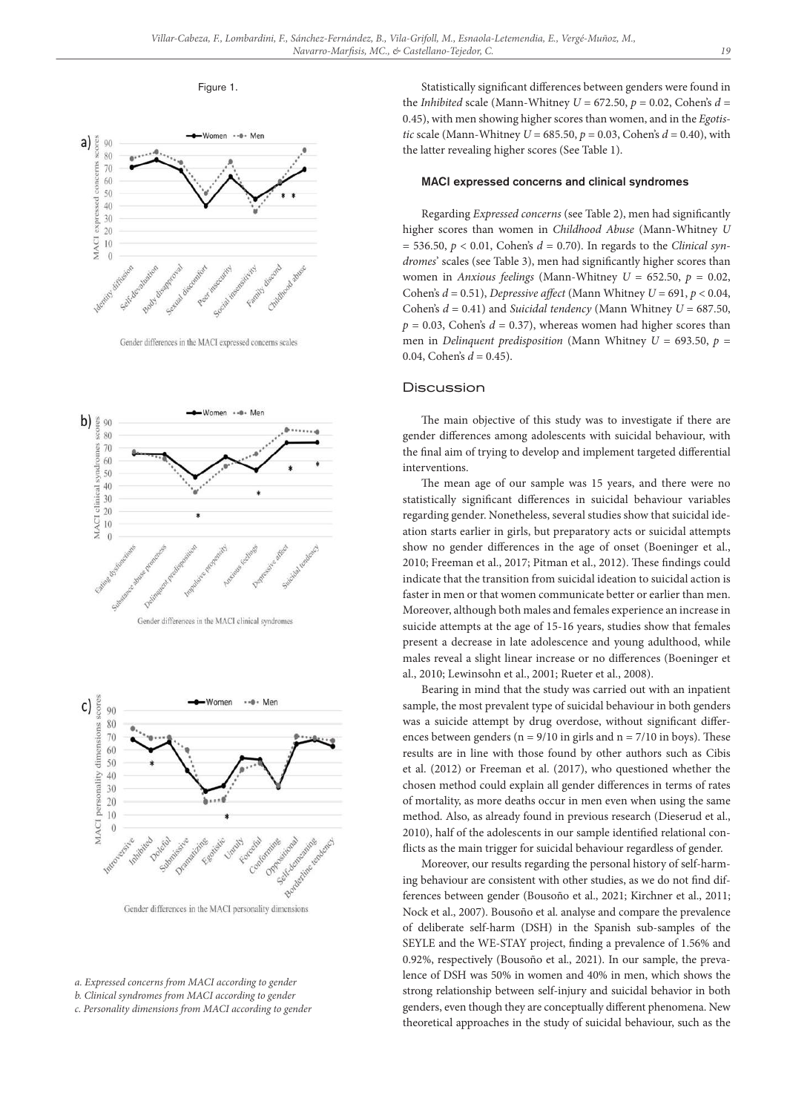Figure 1.



Gender differences in the MACI expressed concerns scales



Gender differences in the MACI clinical syndromes



Gender differences in the MACI personality dimensions

*b. Clinical syndromes from MACI according to gender*

*c. Personality dimensions from MACI according to gender*

Statistically significant differences between genders were found in the *Inhibited* scale (Mann-Whitney  $U = 672.50$ ,  $p = 0.02$ , Cohen's  $d =$ 0.45), with men showing higher scores than women, and in the *Egotistic* scale (Mann-Whitney  $U = 685.50$ ,  $p = 0.03$ , Cohen's  $d = 0.40$ ), with the latter revealing higher scores (See Table 1).

## MACI expressed concerns and clinical syndromes

Regarding *Expressed concerns* (see Table 2), men had significantly higher scores than women in *Childhood Abuse* (Mann-Whitney *U*  $= 536.50, p < 0.01$ , Cohen's  $d = 0.70$ ). In regards to the *Clinical syndromes*' scales (see Table 3), men had significantly higher scores than women in *Anxious feelings* (Mann-Whitney *U* = 652.50, *p* = 0.02, Cohen's *d* = 0.51), *Depressive affect* (Mann Whitney *U* = 691, *p* < 0.04, Cohen's *d* = 0.41) and *Suicidal tendency* (Mann Whitney *U* = 687.50,  $p = 0.03$ , Cohen's  $d = 0.37$ ), whereas women had higher scores than men in *Delinquent predisposition* (Mann Whitney *U* = 693.50, *p* = 0.04, Cohen's  $d = 0.45$ ).

#### Discussion

The main objective of this study was to investigate if there are gender differences among adolescents with suicidal behaviour, with the final aim of trying to develop and implement targeted differential interventions.

The mean age of our sample was 15 years, and there were no statistically significant differences in suicidal behaviour variables regarding gender. Nonetheless, several studies show that suicidal ideation starts earlier in girls, but preparatory acts or suicidal attempts show no gender differences in the age of onset (Boeninger et al., 2010; Freeman et al., 2017; Pitman et al., 2012). These findings could indicate that the transition from suicidal ideation to suicidal action is faster in men or that women communicate better or earlier than men. Moreover, although both males and females experience an increase in suicide attempts at the age of 15-16 years, studies show that females present a decrease in late adolescence and young adulthood, while males reveal a slight linear increase or no differences (Boeninger et al., 2010; Lewinsohn et al., 2001; Rueter et al., 2008).

Bearing in mind that the study was carried out with an inpatient sample, the most prevalent type of suicidal behaviour in both genders was a suicide attempt by drug overdose, without significant differences between genders ( $n = 9/10$  in girls and  $n = 7/10$  in boys). These results are in line with those found by other authors such as Cibis et al. (2012) or Freeman et al. (2017), who questioned whether the chosen method could explain all gender differences in terms of rates of mortality, as more deaths occur in men even when using the same method. Also, as already found in previous research (Dieserud et al., 2010), half of the adolescents in our sample identified relational conflicts as the main trigger for suicidal behaviour regardless of gender.

Moreover, our results regarding the personal history of self-harming behaviour are consistent with other studies, as we do not find differences between gender (Bousoño et al., 2021; Kirchner et al., 2011; Nock et al., 2007). Bousoño et al. analyse and compare the prevalence of deliberate self-harm (DSH) in the Spanish sub-samples of the SEYLE and the WE-STAY project, finding a prevalence of 1.56% and 0.92%, respectively (Bousoño et al., 2021). In our sample, the prevalence of DSH was 50% in women and 40% in men, which shows the strong relationship between self-injury and suicidal behavior in both genders, even though they are conceptually different phenomena. New theoretical approaches in the study of suicidal behaviour, such as the

*a. Expressed concerns from MACI according to gender*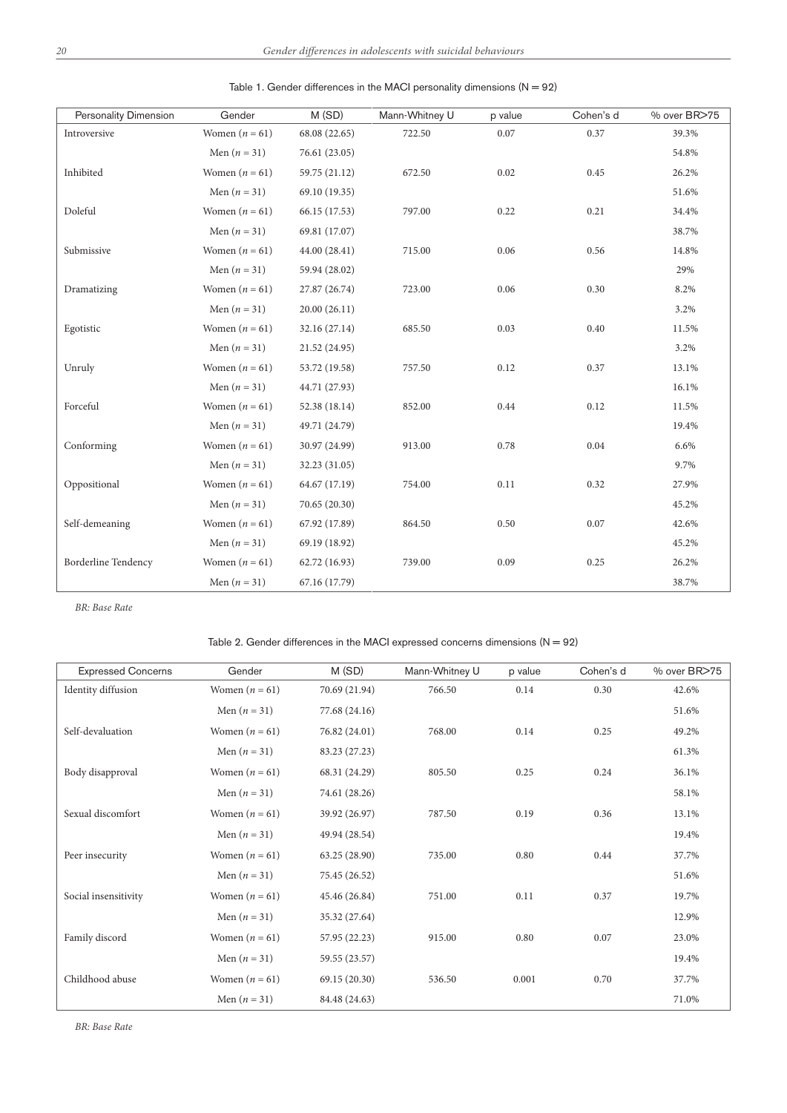| Personality Dimension      | Gender           | M(SD)         | Mann-Whitney U | p value | Cohen's d | % over BR>75 |
|----------------------------|------------------|---------------|----------------|---------|-----------|--------------|
| Introversive               | Women $(n = 61)$ | 68.08 (22.65) | 722.50         | 0.07    | 0.37      | 39.3%        |
|                            | Men $(n = 31)$   | 76.61 (23.05) |                |         |           | 54.8%        |
| Inhibited                  | Women $(n = 61)$ | 59.75 (21.12) | 672.50         | 0.02    | 0.45      | 26.2%        |
|                            | Men $(n = 31)$   | 69.10 (19.35) |                |         |           | 51.6%        |
| Doleful                    | Women $(n = 61)$ | 66.15 (17.53) | 797.00         | 0.22    | 0.21      | 34.4%        |
|                            | Men $(n = 31)$   | 69.81 (17.07) |                |         |           | 38.7%        |
| Submissive                 | Women $(n = 61)$ | 44.00 (28.41) | 715.00         | 0.06    | 0.56      | 14.8%        |
|                            | Men $(n = 31)$   | 59.94 (28.02) |                |         |           | 29%          |
| Dramatizing                | Women $(n = 61)$ | 27.87 (26.74) | 723.00         | 0.06    | 0.30      | 8.2%         |
|                            | Men $(n = 31)$   | 20.00(26.11)  |                |         |           | 3.2%         |
| Egotistic                  | Women $(n = 61)$ | 32.16 (27.14) | 685.50         | 0.03    | 0.40      | 11.5%        |
|                            | Men $(n = 31)$   | 21.52 (24.95) |                |         |           | 3.2%         |
| Unruly                     | Women $(n = 61)$ | 53.72 (19.58) | 757.50         | 0.12    | 0.37      | 13.1%        |
|                            | Men $(n = 31)$   | 44.71 (27.93) |                |         |           | 16.1%        |
| Forceful                   | Women $(n = 61)$ | 52.38 (18.14) | 852.00         | 0.44    | 0.12      | 11.5%        |
|                            | Men $(n = 31)$   | 49.71 (24.79) |                |         |           | 19.4%        |
| Conforming                 | Women $(n = 61)$ | 30.97 (24.99) | 913.00         | 0.78    | 0.04      | 6.6%         |
|                            | Men $(n = 31)$   | 32.23 (31.05) |                |         |           | 9.7%         |
| Oppositional               | Women $(n = 61)$ | 64.67 (17.19) | 754.00         | 0.11    | 0.32      | 27.9%        |
|                            | Men $(n = 31)$   | 70.65 (20.30) |                |         |           | 45.2%        |
| Self-demeaning             | Women $(n = 61)$ | 67.92 (17.89) | 864.50         | 0.50    | 0.07      | 42.6%        |
|                            | Men $(n = 31)$   | 69.19 (18.92) |                |         |           | 45.2%        |
| <b>Borderline Tendency</b> | Women $(n = 61)$ | 62.72 (16.93) | 739.00         | 0.09    | 0.25      | 26.2%        |
|                            | Men $(n = 31)$   | 67.16 (17.79) |                |         |           | 38.7%        |

| Table 1. Gender differences in the MACI personality dimensions $(N = 92)$ |
|---------------------------------------------------------------------------|
|---------------------------------------------------------------------------|

*BR: Base Rate*

# Table 2. Gender differences in the MACI expressed concerns dimensions  $(N = 92)$

| <b>Expressed Concerns</b> | Gender           | M(SD)         | Mann-Whitney U | p value | Cohen's d | % over BR>75 |
|---------------------------|------------------|---------------|----------------|---------|-----------|--------------|
| Identity diffusion        | Women $(n = 61)$ | 70.69 (21.94) | 766.50         | 0.14    | 0.30      | 42.6%        |
|                           | Men $(n = 31)$   | 77.68 (24.16) |                |         |           | 51.6%        |
| Self-devaluation          | Women $(n = 61)$ | 76.82 (24.01) | 768.00         | 0.14    | 0.25      | 49.2%        |
|                           | Men $(n = 31)$   | 83.23 (27.23) |                |         |           | 61.3%        |
| Body disapproval          | Women $(n = 61)$ | 68.31 (24.29) | 805.50         | 0.25    | 0.24      | 36.1%        |
|                           | Men $(n = 31)$   | 74.61 (28.26) |                |         |           | 58.1%        |
| Sexual discomfort         | Women $(n = 61)$ | 39.92 (26.97) | 787.50         | 0.19    | 0.36      | 13.1%        |
|                           | Men $(n = 31)$   | 49.94 (28.54) |                |         |           | 19.4%        |
| Peer insecurity           | Women $(n = 61)$ | 63.25 (28.90) | 735.00         | 0.80    | 0.44      | 37.7%        |
|                           | Men $(n = 31)$   | 75.45 (26.52) |                |         |           | 51.6%        |
| Social insensitivity      | Women $(n = 61)$ | 45.46 (26.84) | 751.00         | 0.11    | 0.37      | 19.7%        |
|                           | Men $(n = 31)$   | 35.32 (27.64) |                |         |           | 12.9%        |
| Family discord            | Women $(n = 61)$ | 57.95 (22.23) | 915.00         | 0.80    | 0.07      | 23.0%        |
|                           | Men $(n = 31)$   | 59.55 (23.57) |                |         |           | 19.4%        |
| Childhood abuse           | Women $(n = 61)$ | 69.15 (20.30) | 536.50         | 0.001   | 0.70      | 37.7%        |
|                           | Men $(n = 31)$   | 84.48 (24.63) |                |         |           | 71.0%        |

*BR: Base Rate*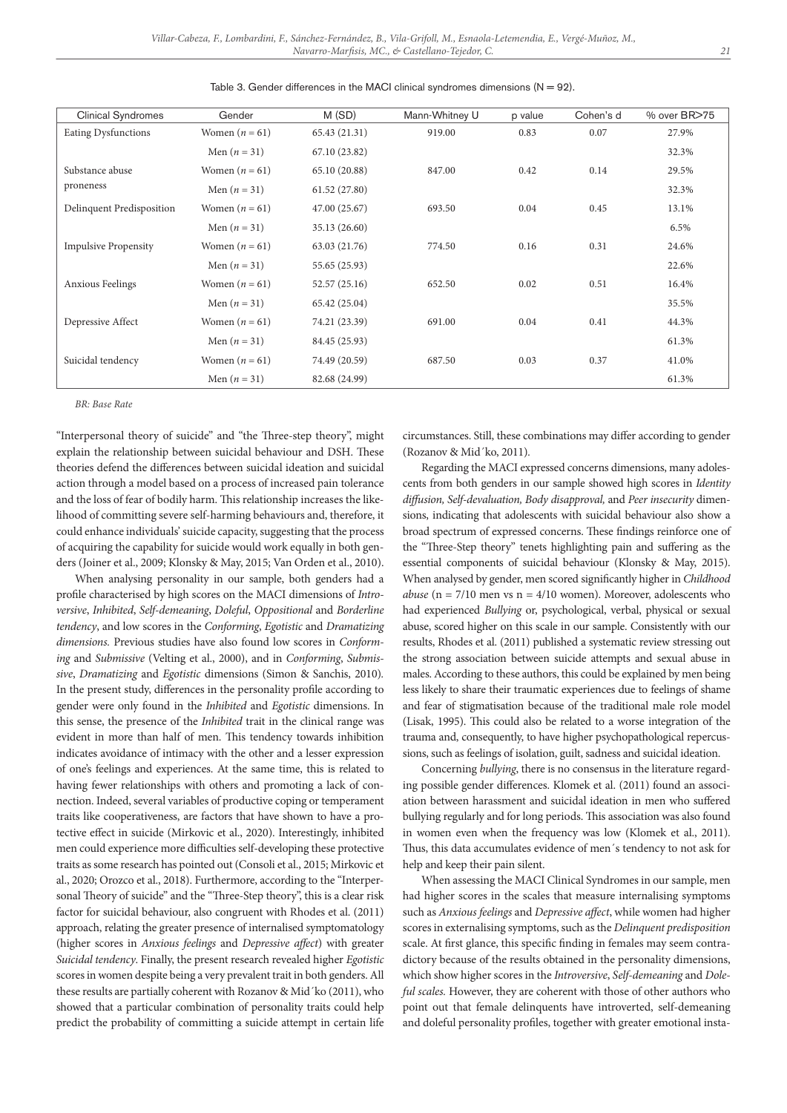| <b>Clinical Syndromes</b>   | Gender           | M(SD)         | Mann-Whitney U | p value | Cohen's d | % over BR>75 |
|-----------------------------|------------------|---------------|----------------|---------|-----------|--------------|
| <b>Eating Dysfunctions</b>  | Women $(n = 61)$ | 65.43 (21.31) | 919.00         | 0.83    | 0.07      | 27.9%        |
|                             | Men $(n = 31)$   | 67.10 (23.82) |                |         |           | 32.3%        |
| Substance abuse             | Women $(n = 61)$ | 65.10 (20.88) | 847.00         | 0.42    | 0.14      | 29.5%        |
| proneness                   | Men $(n = 31)$   | 61.52(27.80)  |                |         |           | 32.3%        |
| Delinquent Predisposition   | Women $(n = 61)$ | 47.00 (25.67) | 693.50         | 0.04    | 0.45      | 13.1%        |
|                             | Men $(n = 31)$   | 35.13 (26.60) |                |         |           | 6.5%         |
| <b>Impulsive Propensity</b> | Women $(n = 61)$ | 63.03 (21.76) | 774.50         | 0.16    | 0.31      | 24.6%        |
|                             | Men $(n = 31)$   | 55.65 (25.93) |                |         |           | 22.6%        |
| <b>Anxious Feelings</b>     | Women $(n = 61)$ | 52.57(25.16)  | 652.50         | 0.02    | 0.51      | 16.4%        |
|                             | Men $(n = 31)$   | 65.42 (25.04) |                |         |           | 35.5%        |
| Depressive Affect           | Women $(n = 61)$ | 74.21 (23.39) | 691.00         | 0.04    | 0.41      | 44.3%        |
|                             | Men $(n = 31)$   | 84.45 (25.93) |                |         |           | 61.3%        |
| Suicidal tendency           | Women $(n = 61)$ | 74.49 (20.59) | 687.50         | 0.03    | 0.37      | 41.0%        |
|                             | Men $(n = 31)$   | 82.68 (24.99) |                |         |           | 61.3%        |

|  |  |  | Table 3. Gender differences in the MACI clinical syndromes dimensions ( $N = 92$ ). |  |  |
|--|--|--|-------------------------------------------------------------------------------------|--|--|
|--|--|--|-------------------------------------------------------------------------------------|--|--|

*BR: Base Rate*

"Interpersonal theory of suicide" and "the Three-step theory", might explain the relationship between suicidal behaviour and DSH. These theories defend the differences between suicidal ideation and suicidal action through a model based on a process of increased pain tolerance and the loss of fear of bodily harm. This relationship increases the likelihood of committing severe self-harming behaviours and, therefore, it could enhance individuals' suicide capacity, suggesting that the process of acquiring the capability for suicide would work equally in both genders (Joiner et al., 2009; Klonsky & May, 2015; Van Orden et al., 2010).

When analysing personality in our sample, both genders had a profile characterised by high scores on the MACI dimensions of *Introversive*, *Inhibited*, *Self-demeaning*, *Doleful*, *Oppositional* and *Borderline tendency*, and low scores in the *Conforming*, *Egotistic* and *Dramatizing dimensions.* Previous studies have also found low scores in *Conforming* and *Submissive* (Velting et al., 2000), and in *Conforming*, *Submissive*, *Dramatizing* and *Egotistic* dimensions (Simon & Sanchis, 2010)*.* In the present study, differences in the personality profile according to gender were only found in the *Inhibited* and *Egotistic* dimensions. In this sense, the presence of the *Inhibited* trait in the clinical range was evident in more than half of men. This tendency towards inhibition indicates avoidance of intimacy with the other and a lesser expression of one's feelings and experiences. At the same time, this is related to having fewer relationships with others and promoting a lack of connection. Indeed, several variables of productive coping or temperament traits like cooperativeness, are factors that have shown to have a protective effect in suicide (Mirkovic et al., 2020). Interestingly, inhibited men could experience more difficulties self-developing these protective traits as some research has pointed out (Consoli et al., 2015; Mirkovic et al., 2020; Orozco et al., 2018). Furthermore, according to the "Interpersonal Theory of suicide" and the "Three-Step theory", this is a clear risk factor for suicidal behaviour, also congruent with Rhodes et al. (2011) approach, relating the greater presence of internalised symptomatology (higher scores in *Anxious feelings* and *Depressive affect*) with greater *Suicidal tendency*. Finally, the present research revealed higher *Egotistic*  scores in women despite being a very prevalent trait in both genders. All these results are partially coherent with Rozanov & Mid´ko (2011), who showed that a particular combination of personality traits could help predict the probability of committing a suicide attempt in certain life circumstances. Still, these combinations may differ according to gender (Rozanov & Mid´ko, 2011)*.*

Regarding the MACI expressed concerns dimensions, many adolescents from both genders in our sample showed high scores in *Identity diffusion, Self-devaluation, Body disapproval,* and *Peer insecurity* dimensions, indicating that adolescents with suicidal behaviour also show a broad spectrum of expressed concerns. These findings reinforce one of the "Three-Step theory" tenets highlighting pain and suffering as the essential components of suicidal behaviour (Klonsky & May, 2015). When analysed by gender, men scored significantly higher in *Childhood abuse* ( $n = 7/10$  men vs  $n = 4/10$  women). Moreover, adolescents who had experienced *Bullying* or, psychological, verbal, physical or sexual abuse, scored higher on this scale in our sample. Consistently with our results, Rhodes et al. (2011) published a systematic review stressing out the strong association between suicide attempts and sexual abuse in males. According to these authors, this could be explained by men being less likely to share their traumatic experiences due to feelings of shame and fear of stigmatisation because of the traditional male role model (Lisak, 1995). This could also be related to a worse integration of the trauma and, consequently, to have higher psychopathological repercussions, such as feelings of isolation, guilt, sadness and suicidal ideation.

Concerning *bullying*, there is no consensus in the literature regarding possible gender differences. Klomek et al. (2011) found an association between harassment and suicidal ideation in men who suffered bullying regularly and for long periods. This association was also found in women even when the frequency was low (Klomek et al., 2011). Thus, this data accumulates evidence of men´s tendency to not ask for help and keep their pain silent.

When assessing the MACI Clinical Syndromes in our sample, men had higher scores in the scales that measure internalising symptoms such as *Anxious feelings* and *Depressive affect*, while women had higher scores in externalising symptoms, such as the *Delinquent predisposition* scale. At first glance, this specific finding in females may seem contradictory because of the results obtained in the personality dimensions, which show higher scores in the *Introversive*, *Self-demeaning* and *Doleful scales.* However, they are coherent with those of other authors who point out that female delinquents have introverted, self-demeaning and doleful personality profiles, together with greater emotional insta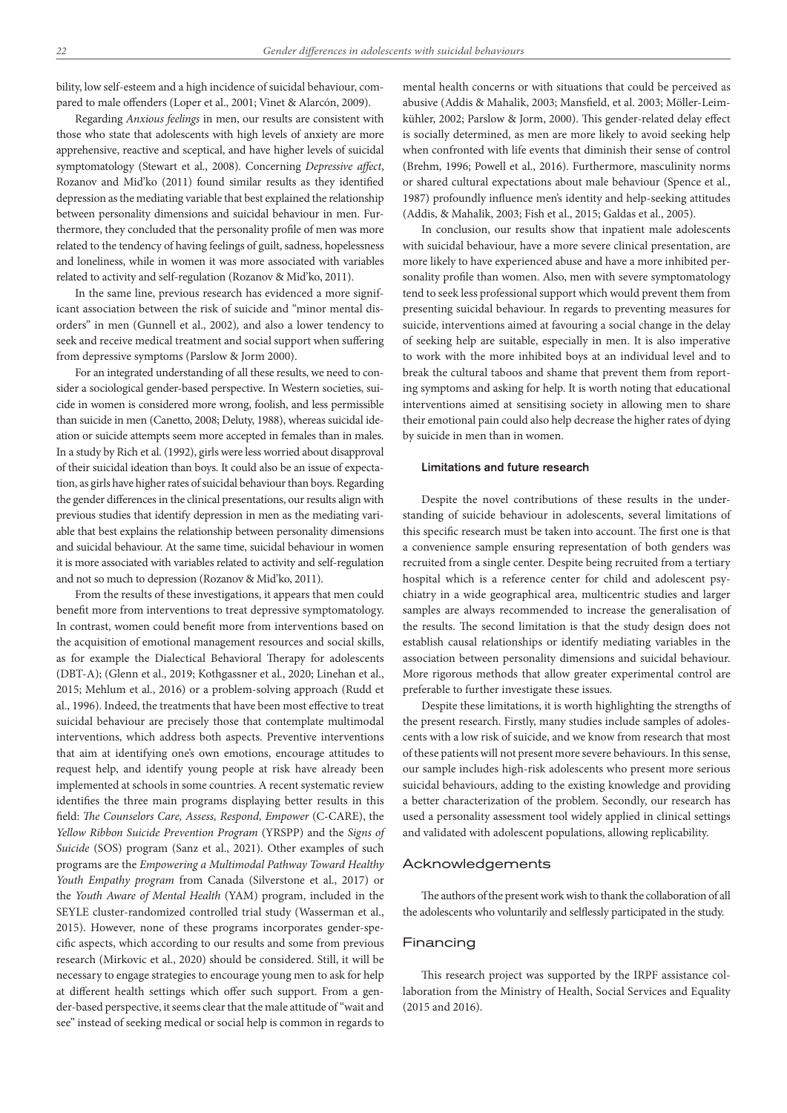bility, low self-esteem and a high incidence of suicidal behaviour, compared to male offenders (Loper et al., 2001; Vinet & Alarcón, 2009).

Regarding *Anxious feelings* in men, our results are consistent with those who state that adolescents with high levels of anxiety are more apprehensive, reactive and sceptical, and have higher levels of suicidal symptomatology (Stewart et al., 2008). Concerning *Depressive affect*, Rozanov and Mid'ko (2011) found similar results as they identified depression as the mediating variable that best explained the relationship between personality dimensions and suicidal behaviour in men. Furthermore, they concluded that the personality profile of men was more related to the tendency of having feelings of guilt, sadness, hopelessness and loneliness, while in women it was more associated with variables related to activity and self-regulation (Rozanov & Mid'ko, 2011).

In the same line, previous research has evidenced a more significant association between the risk of suicide and "minor mental disorders" in men (Gunnell et al., 2002)*,* and also a lower tendency to seek and receive medical treatment and social support when suffering from depressive symptoms (Parslow & Jorm 2000).

For an integrated understanding of all these results, we need to consider a sociological gender-based perspective. In Western societies, suicide in women is considered more wrong, foolish, and less permissible than suicide in men (Canetto, 2008; Deluty, 1988), whereas suicidal ideation or suicide attempts seem more accepted in females than in males. In a study by Rich et al. (1992), girls were less worried about disapproval of their suicidal ideation than boys. It could also be an issue of expectation, as girls have higher rates of suicidal behaviour than boys. Regarding the gender differences in the clinical presentations, our results align with previous studies that identify depression in men as the mediating variable that best explains the relationship between personality dimensions and suicidal behaviour. At the same time, suicidal behaviour in women it is more associated with variables related to activity and self-regulation and not so much to depression (Rozanov & Mid'ko, 2011).

From the results of these investigations, it appears that men could benefit more from interventions to treat depressive symptomatology. In contrast, women could benefit more from interventions based on the acquisition of emotional management resources and social skills, as for example the Dialectical Behavioral Therapy for adolescents (DBT-A); (Glenn et al., 2019; Kothgassner et al., 2020; Linehan et al., 2015; Mehlum et al., 2016) or a problem-solving approach (Rudd et al., 1996). Indeed, the treatments that have been most effective to treat suicidal behaviour are precisely those that contemplate multimodal interventions, which address both aspects. Preventive interventions that aim at identifying one's own emotions, encourage attitudes to request help, and identify young people at risk have already been implemented at schools in some countries. A recent systematic review identifies the three main programs displaying better results in this field: *The Counselors Care, Assess, Respond, Empower* (C-CARE), the *Yellow Ribbon Suicide Prevention Program* (YRSPP) and the *Signs of Suicide* (SOS) program (Sanz et al., 2021). Other examples of such programs are the *Empowering a Multimodal Pathway Toward Healthy Youth Empathy program* from Canada (Silverstone et al., 2017) or the *Youth Aware of Mental Health* (YAM) program, included in the SEYLE cluster-randomized controlled trial study (Wasserman et al., 2015). However, none of these programs incorporates gender-specific aspects, which according to our results and some from previous research (Mirkovic et al., 2020) should be considered. Still, it will be necessary to engage strategies to encourage young men to ask for help at different health settings which offer such support. From a gender-based perspective, it seems clear that the male attitude of "wait and see" instead of seeking medical or social help is common in regards to mental health concerns or with situations that could be perceived as abusive (Addis & Mahalik, 2003; Mansfield, et al. 2003; Möller-Leimkühler, 2002; Parslow & Jorm, 2000). This gender-related delay effect is socially determined, as men are more likely to avoid seeking help when confronted with life events that diminish their sense of control (Brehm, 1996; Powell et al., 2016). Furthermore, masculinity norms or shared cultural expectations about male behaviour (Spence et al., 1987) profoundly influence men's identity and help-seeking attitudes (Addis, & Mahalik, 2003; Fish et al., 2015; Galdas et al., 2005).

In conclusion, our results show that inpatient male adolescents with suicidal behaviour, have a more severe clinical presentation, are more likely to have experienced abuse and have a more inhibited personality profile than women. Also, men with severe symptomatology tend to seek less professional support which would prevent them from presenting suicidal behaviour. In regards to preventing measures for suicide, interventions aimed at favouring a social change in the delay of seeking help are suitable, especially in men. It is also imperative to work with the more inhibited boys at an individual level and to break the cultural taboos and shame that prevent them from reporting symptoms and asking for help. It is worth noting that educational interventions aimed at sensitising society in allowing men to share their emotional pain could also help decrease the higher rates of dying by suicide in men than in women.

## Limitations and future research

Despite the novel contributions of these results in the understanding of suicide behaviour in adolescents, several limitations of this specific research must be taken into account. The first one is that a convenience sample ensuring representation of both genders was recruited from a single center. Despite being recruited from a tertiary hospital which is a reference center for child and adolescent psychiatry in a wide geographical area, multicentric studies and larger samples are always recommended to increase the generalisation of the results. The second limitation is that the study design does not establish causal relationships or identify mediating variables in the association between personality dimensions and suicidal behaviour. More rigorous methods that allow greater experimental control are preferable to further investigate these issues.

Despite these limitations, it is worth highlighting the strengths of the present research. Firstly, many studies include samples of adolescents with a low risk of suicide, and we know from research that most of these patients will not present more severe behaviours. In this sense, our sample includes high-risk adolescents who present more serious suicidal behaviours, adding to the existing knowledge and providing a better characterization of the problem. Secondly, our research has used a personality assessment tool widely applied in clinical settings and validated with adolescent populations, allowing replicability.

## Acknowledgements

The authors of the present work wish to thank the collaboration of all the adolescents who voluntarily and selflessly participated in the study.

#### Financing

This research project was supported by the IRPF assistance collaboration from the Ministry of Health, Social Services and Equality (2015 and 2016).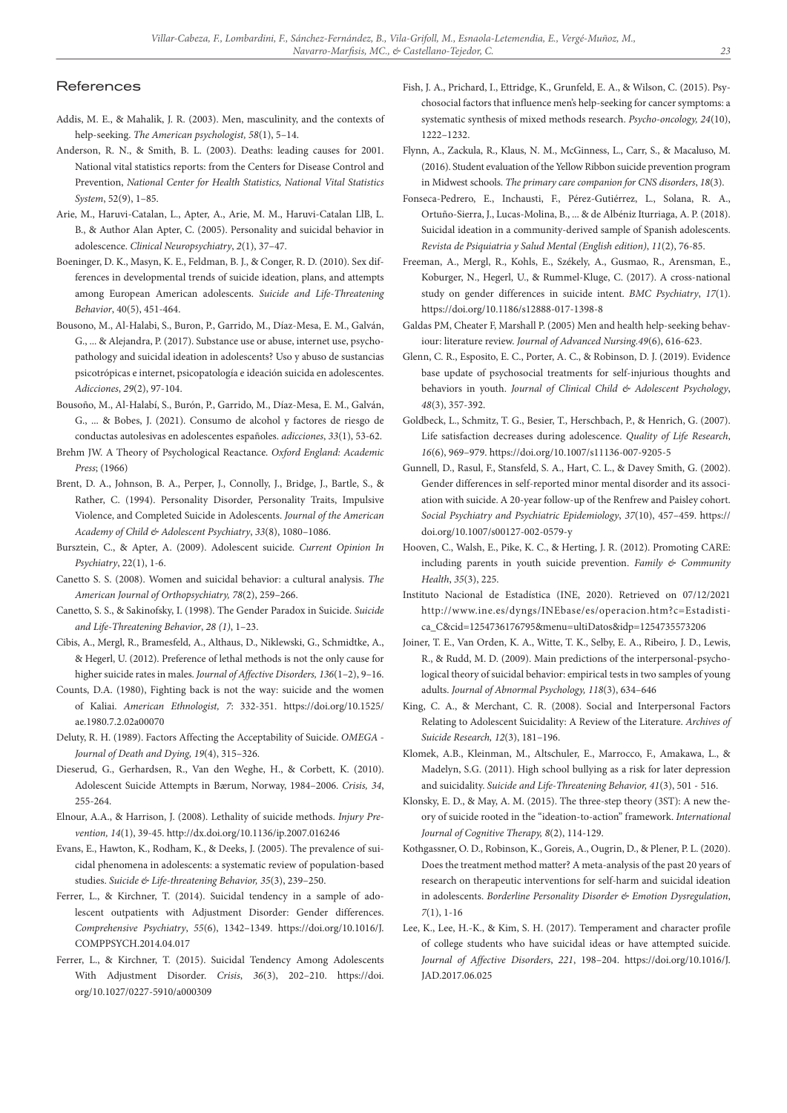## References

- Addis, M. E., & Mahalik, J. R. (2003). Men, masculinity, and the contexts of help-seeking. *The American psychologist, 58*(1), 5–14.
- Anderson, R. N., & Smith, B. L. (2003). Deaths: leading causes for 2001. National vital statistics reports: from the Centers for Disease Control and Prevention, *National Center for Health Statistics, National Vital Statistics System*, 52(9), 1–85.
- Arie, M., Haruvi-Catalan, L., Apter, A., Arie, M. M., Haruvi-Catalan LlB, L. B., & Author Alan Apter, C. (2005). Personality and suicidal behavior in adolescence. *Clinical Neuropsychiatry*, *2*(1), 37–47.
- Boeninger, D. K., Masyn, K. E., Feldman, B. J., & Conger, R. D. (2010). Sex differences in developmental trends of suicide ideation, plans, and attempts among European American adolescents. *Suicide and Life-Threatening Behavior*, 40(5), 451-464.
- Bousono, M., Al-Halabi, S., Buron, P., Garrido, M., Díaz-Mesa, E. M., Galván, G., ... & Alejandra, P. (2017). Substance use or abuse, internet use, psychopathology and suicidal ideation in adolescents? Uso y abuso de sustancias psicotrópicas e internet, psicopatología e ideación suicida en adolescentes. *Adicciones*, *29*(2), 97-104.
- Bousoño, M., Al-Halabí, S., Burón, P., Garrido, M., Díaz-Mesa, E. M., Galván, G., ... & Bobes, J. (2021). Consumo de alcohol y factores de riesgo de conductas autolesivas en adolescentes españoles. *adicciones*, *33*(1), 53-62.
- Brehm JW. A Theory of Psychological Reactance. *Oxford England: Academic Press*; (1966)
- Brent, D. A., Johnson, B. A., Perper, J., Connolly, J., Bridge, J., Bartle, S., & Rather, C. (1994). Personality Disorder, Personality Traits, Impulsive Violence, and Completed Suicide in Adolescents. *Journal of the American Academy of Child & Adolescent Psychiatry*, *33*(8), 1080–1086.
- Bursztein, C., & Apter, A. (2009). Adolescent suicide. *Current Opinion In Psychiatry*, 22(1), 1-6.
- Canetto S. S. (2008). Women and suicidal behavior: a cultural analysis. *The American Journal of Orthopsychiatry, 78*(2), 259–266.
- Canetto, S. S., & Sakinofsky, I. (1998). The Gender Paradox in Suicide. *Suicide and Life-Threatening Behavior*, *28 (1)*, 1–23.
- Cibis, A., Mergl, R., Bramesfeld, A., Althaus, D., Niklewski, G., Schmidtke, A., & Hegerl, U. (2012). Preference of lethal methods is not the only cause for higher suicide rates in males. *Journal of Affective Disorders, 136*(1–2), 9–16.
- Counts, D.A. (1980), Fighting back is not the way: suicide and the women of Kaliai. *American Ethnologist, 7*: 332-351. https://doi.org/10.1525/ ae.1980.7.2.02a00070
- Deluty, R. H. (1989). Factors Affecting the Acceptability of Suicide. *OMEGA Journal of Death and Dying, 19*(4), 315–326.
- Dieserud, G., Gerhardsen, R., Van den Weghe, H., & Corbett, K. (2010). Adolescent Suicide Attempts in Bærum, Norway, 1984–2006. *Crisis, 34*, 255-264.
- Elnour, A.A., & Harrison, J. (2008). Lethality of suicide methods. *Injury Prevention, 14*(1), 39-45. http://dx.doi.org/10.1136/ip.2007.016246
- Evans, E., Hawton, K., Rodham, K., & Deeks, J. (2005). The prevalence of suicidal phenomena in adolescents: a systematic review of population-based studies. *Suicide & Life-threatening Behavior, 35*(3), 239–250.
- Ferrer, L., & Kirchner, T. (2014). Suicidal tendency in a sample of adolescent outpatients with Adjustment Disorder: Gender differences. *Comprehensive Psychiatry*, *55*(6), 1342–1349. https://doi.org/10.1016/J. COMPPSYCH.2014.04.017
- Ferrer, L., & Kirchner, T. (2015). Suicidal Tendency Among Adolescents With Adjustment Disorder. *Crisis*, *36*(3), 202–210. https://doi. org/10.1027/0227-5910/a000309
- Fish, J. A., Prichard, I., Ettridge, K., Grunfeld, E. A., & Wilson, C. (2015). Psychosocial factors that influence men's help-seeking for cancer symptoms: a systematic synthesis of mixed methods research. *Psycho-oncology, 24*(10), 1222–1232.
- Flynn, A., Zackula, R., Klaus, N. M., McGinness, L., Carr, S., & Macaluso, M. (2016). Student evaluation of the Yellow Ribbon suicide prevention program in Midwest schools. *The primary care companion for CNS disorders*, *18*(3).
- Fonseca-Pedrero, E., Inchausti, F., Pérez-Gutiérrez, L., Solana, R. A., Ortuño-Sierra, J., Lucas-Molina, B., ... & de Albéniz Iturriaga, A. P. (2018). Suicidal ideation in a community-derived sample of Spanish adolescents. *Revista de Psiquiatria y Salud Mental (English edition)*, *11*(2), 76-85.
- Freeman, A., Mergl, R., Kohls, E., Székely, A., Gusmao, R., Arensman, E., Koburger, N., Hegerl, U., & Rummel-Kluge, C. (2017). A cross-national study on gender differences in suicide intent. *BMC Psychiatry*, *17*(1). https://doi.org/10.1186/s12888-017-1398-8
- Galdas PM, Cheater F, Marshall P. (2005) Men and health help-seeking behaviour: literature review. *Journal of Advanced Nursing.49*(6), 616-623.
- Glenn, C. R., Esposito, E. C., Porter, A. C., & Robinson, D. J. (2019). Evidence base update of psychosocial treatments for self-injurious thoughts and behaviors in youth. *Journal of Clinical Child & Adolescent Psychology*, *48*(3), 357-392.
- Goldbeck, L., Schmitz, T. G., Besier, T., Herschbach, P., & Henrich, G. (2007). Life satisfaction decreases during adolescence. *Quality of Life Research*, *16*(6), 969–979. https://doi.org/10.1007/s11136-007-9205-5
- Gunnell, D., Rasul, F., Stansfeld, S. A., Hart, C. L., & Davey Smith, G. (2002). Gender differences in self-reported minor mental disorder and its association with suicide. A 20-year follow-up of the Renfrew and Paisley cohort. *Social Psychiatry and Psychiatric Epidemiology*, *37*(10), 457–459. https:// doi.org/10.1007/s00127-002-0579-y
- Hooven, C., Walsh, E., Pike, K. C., & Herting, J. R. (2012). Promoting CARE: including parents in youth suicide prevention. *Family & Community Health*, *35*(3), 225.
- Instituto Nacional de Estadística (INE, 2020). Retrieved on 07/12/2021 http://www.ine.es/dyngs/INEbase/es/operacion.htm?c=Estadistica\_C&cid=1254736176795&menu=ultiDatos&idp=1254735573206
- Joiner, T. E., Van Orden, K. A., Witte, T. K., Selby, E. A., Ribeiro, J. D., Lewis, R., & Rudd, M. D. (2009). Main predictions of the interpersonal-psychological theory of suicidal behavior: empirical tests in two samples of young adults. *Journal of Abnormal Psychology, 118*(3), 634–646
- King, C. A., & Merchant, C. R. (2008). Social and Interpersonal Factors Relating to Adolescent Suicidality: A Review of the Literature. *Archives of Suicide Research, 12*(3), 181–196.
- Klomek, A.B., Kleinman, M., Altschuler, E., Marrocco, F., Amakawa, L., & Madelyn, S.G. (2011). High school bullying as a risk for later depression and suicidality. *Suicide and Life-Threatening Behavior, 41*(3), 501 - 516.
- Klonsky, E. D., & May, A. M. (2015). The three-step theory (3ST): A new theory of suicide rooted in the "ideation-to-action" framework. *International Journal of Cognitive Therapy, 8*(2), 114-129.
- Kothgassner, O. D., Robinson, K., Goreis, A., Ougrin, D., & Plener, P. L. (2020). Does the treatment method matter? A meta-analysis of the past 20 years of research on therapeutic interventions for self-harm and suicidal ideation in adolescents. *Borderline Personality Disorder & Emotion Dysregulation*, *7*(1), 1-16
- Lee, K., Lee, H.-K., & Kim, S. H. (2017). Temperament and character profile of college students who have suicidal ideas or have attempted suicide. *Journal of Affective Disorders*, *221*, 198–204. https://doi.org/10.1016/J. JAD.2017.06.025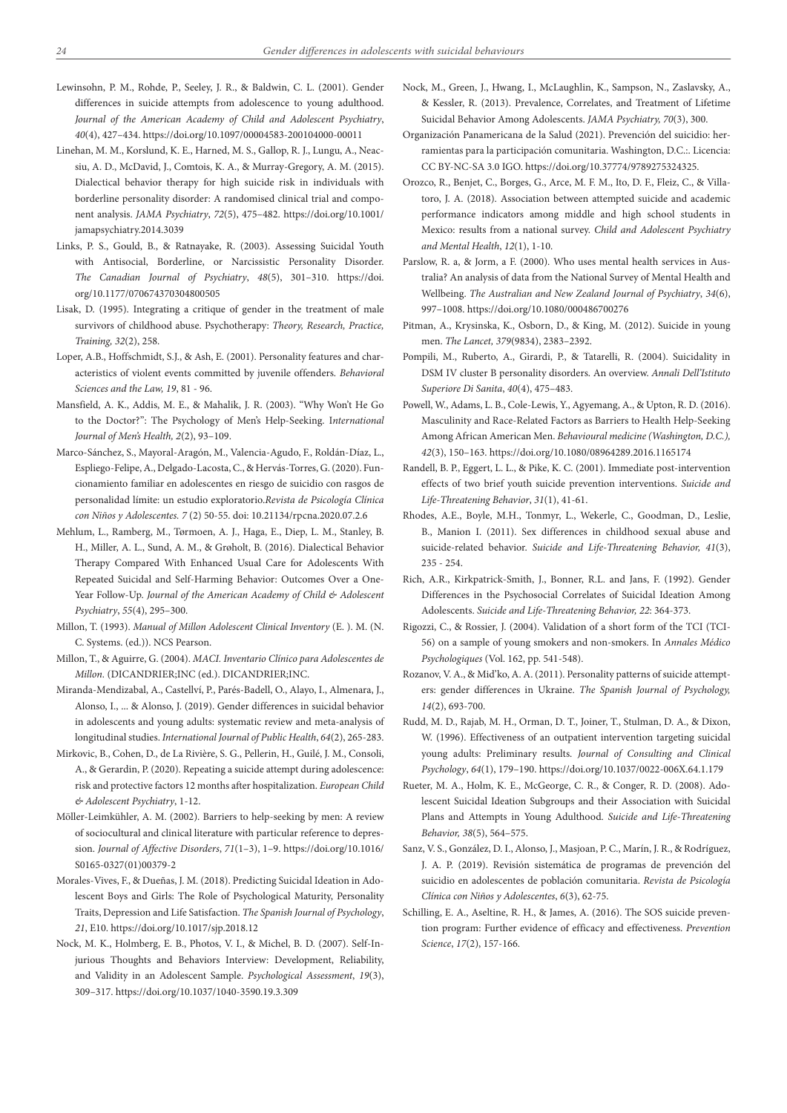- Lewinsohn, P. M., Rohde, P., Seeley, J. R., & Baldwin, C. L. (2001). Gender differences in suicide attempts from adolescence to young adulthood. *Journal of the American Academy of Child and Adolescent Psychiatry*, *40*(4), 427–434. https://doi.org/10.1097/00004583-200104000-00011
- Linehan, M. M., Korslund, K. E., Harned, M. S., Gallop, R. J., Lungu, A., Neacsiu, A. D., McDavid, J., Comtois, K. A., & Murray-Gregory, A. M. (2015). Dialectical behavior therapy for high suicide risk in individuals with borderline personality disorder: A randomised clinical trial and component analysis. *JAMA Psychiatry*, *72*(5), 475–482. https://doi.org/10.1001/ jamapsychiatry.2014.3039
- Links, P. S., Gould, B., & Ratnayake, R. (2003). Assessing Suicidal Youth with Antisocial, Borderline, or Narcissistic Personality Disorder. *The Canadian Journal of Psychiatry*, *48*(5), 301–310. https://doi. org/10.1177/070674370304800505
- Lisak, D. (1995). Integrating a critique of gender in the treatment of male survivors of childhood abuse. Psychotherapy: *Theory, Research, Practice, Training, 32*(2), 258.
- Loper, A.B., Hoffschmidt, S.J., & Ash, E. (2001). Personality features and characteristics of violent events committed by juvenile offenders. *Behavioral Sciences and the Law, 19*, 81 - 96.
- Mansfield, A. K., Addis, M. E., & Mahalik, J. R. (2003). "Why Won't He Go to the Doctor?": The Psychology of Men's Help-Seeking. I*nternational Journal of Men's Health, 2*(2), 93–109.
- Marco-Sánchez, S., Mayoral-Aragón, M., Valencia-Agudo, F., Roldán-Díaz, L., Espliego-Felipe, A., Delgado-Lacosta, C., & Hervás-Torres, G. (2020). Funcionamiento familiar en adolescentes en riesgo de suicidio con rasgos de personalidad límite: un estudio exploratorio.*Revista de Psicología Clínica con Niños y Adolescentes. 7* (2) 50-55. doi: 10.21134/rpcna.2020.07.2.6
- Mehlum, L., Ramberg, M., Tørmoen, A. J., Haga, E., Diep, L. M., Stanley, B. H., Miller, A. L., Sund, A. M., & Grøholt, B. (2016). Dialectical Behavior Therapy Compared With Enhanced Usual Care for Adolescents With Repeated Suicidal and Self-Harming Behavior: Outcomes Over a One-Year Follow-Up. *Journal of the American Academy of Child & Adolescent Psychiatry*, *55*(4), 295–300.
- Millon, T. (1993). *Manual of Millon Adolescent Clinical Inventory* (E. ). M. (N. C. Systems. (ed.)). NCS Pearson.
- Millon, T., & Aguirre, G. (2004). *MACI. Inventario Clínico para Adolescentes de Millon.* (DICANDRIER;INC (ed.). DICANDRIER;INC.
- Miranda-Mendizabal, A., Castellví, P., Parés-Badell, O., Alayo, I., Almenara, J., Alonso, I., ... & Alonso, J. (2019). Gender differences in suicidal behavior in adolescents and young adults: systematic review and meta-analysis of longitudinal studies. *International Journal of Public Health*, *64*(2), 265-283.
- Mirkovic, B., Cohen, D., de La Rivière, S. G., Pellerin, H., Guilé, J. M., Consoli, A., & Gerardin, P. (2020). Repeating a suicide attempt during adolescence: risk and protective factors 12 months after hospitalization. *European Child & Adolescent Psychiatry*, 1-12.
- Möller-Leimkühler, A. M. (2002). Barriers to help-seeking by men: A review of sociocultural and clinical literature with particular reference to depression. *Journal of Affective Disorders*, *71*(1–3), 1–9. https://doi.org/10.1016/ S0165-0327(01)00379-2
- Morales-Vives, F., & Dueñas, J. M. (2018). Predicting Suicidal Ideation in Adolescent Boys and Girls: The Role of Psychological Maturity, Personality Traits, Depression and Life Satisfaction. *The Spanish Journal of Psychology*, *21*, E10. https://doi.org/10.1017/sjp.2018.12
- Nock, M. K., Holmberg, E. B., Photos, V. I., & Michel, B. D. (2007). Self-Injurious Thoughts and Behaviors Interview: Development, Reliability, and Validity in an Adolescent Sample. *Psychological Assessment*, *19*(3), 309–317. https://doi.org/10.1037/1040-3590.19.3.309
- Nock, M., Green, J., Hwang, I., McLaughlin, K., Sampson, N., Zaslavsky, A., & Kessler, R. (2013). Prevalence, Correlates, and Treatment of Lifetime Suicidal Behavior Among Adolescents. *JAMA Psychiatry, 70*(3), 300.
- Organización Panamericana de la Salud (2021). Prevención del suicidio: herramientas para la participación comunitaria. Washington, D.C.:. Licencia: CC BY-NC-SA 3.0 IGO. https://doi.org/10.37774/9789275324325.
- Orozco, R., Benjet, C., Borges, G., Arce, M. F. M., Ito, D. F., Fleiz, C., & Villatoro, J. A. (2018). Association between attempted suicide and academic performance indicators among middle and high school students in Mexico: results from a national survey. *Child and Adolescent Psychiatry and Mental Health*, *12*(1), 1-10.
- Parslow, R. a, & Jorm, a F. (2000). Who uses mental health services in Australia? An analysis of data from the National Survey of Mental Health and Wellbeing. *The Australian and New Zealand Journal of Psychiatry*, *34*(6), 997–1008. https://doi.org/10.1080/000486700276
- Pitman, A., Krysinska, K., Osborn, D., & King, M. (2012). Suicide in young men. *The Lancet, 379*(9834), 2383–2392.
- Pompili, M., Ruberto, A., Girardi, P., & Tatarelli, R. (2004). Suicidality in DSM IV cluster B personality disorders. An overview. *Annali Dell'Istituto Superiore Di Sanita*, *40*(4), 475–483.
- Powell, W., Adams, L. B., Cole-Lewis, Y., Agyemang, A., & Upton, R. D. (2016). Masculinity and Race-Related Factors as Barriers to Health Help-Seeking Among African American Men. *Behavioural medicine (Washington, D.C.), 42*(3), 150–163. https://doi.org/10.1080/08964289.2016.1165174
- Randell, B. P., Eggert, L. L., & Pike, K. C. (2001). Immediate post-intervention effects of two brief youth suicide prevention interventions. *Suicide and Life-Threatening Behavior*, *31*(1), 41-61.
- Rhodes, A.E., Boyle, M.H., Tonmyr, L., Wekerle, C., Goodman, D., Leslie, B., Manion I. (2011). Sex differences in childhood sexual abuse and suicide-related behavior. *Suicide and Life-Threatening Behavior, 41*(3), 235 - 254.
- Rich, A.R., Kirkpatrick‐Smith, J., Bonner, R.L. and Jans, F. (1992). Gender Differences in the Psychosocial Correlates of Suicidal Ideation Among Adolescents. *Suicide and Life‐Threatening Behavior, 22*: 364-373.
- Rigozzi, C., & Rossier, J. (2004). Validation of a short form of the TCI (TCI-56) on a sample of young smokers and non-smokers. In *Annales Médico Psychologiques* (Vol. 162, pp. 541-548).
- Rozanov, V. A., & Mid'ko, A. A. (2011). Personality patterns of suicide attempters: gender differences in Ukraine. *The Spanish Journal of Psychology, 14*(2), 693-700.
- Rudd, M. D., Rajab, M. H., Orman, D. T., Joiner, T., Stulman, D. A., & Dixon, W. (1996). Effectiveness of an outpatient intervention targeting suicidal young adults: Preliminary results. *Journal of Consulting and Clinical Psychology*, *64*(1), 179–190. https://doi.org/10.1037/0022-006X.64.1.179
- Rueter, M. A., Holm, K. E., McGeorge, C. R., & Conger, R. D. (2008). Adolescent Suicidal Ideation Subgroups and their Association with Suicidal Plans and Attempts in Young Adulthood. *Suicide and Life-Threatening Behavior, 38*(5), 564–575.
- Sanz, V. S., González, D. I., Alonso, J., Masjoan, P. C., Marín, J. R., & Rodríguez, J. A. P. (2019). Revisión sistemática de programas de prevención del suicidio en adolescentes de población comunitaria. *Revista de Psicología Clínica con Niños y Adolescentes*, *6*(3), 62-75.
- Schilling, E. A., Aseltine, R. H., & James, A. (2016). The SOS suicide prevention program: Further evidence of efficacy and effectiveness. *Prevention Science*, *17*(2), 157-166.